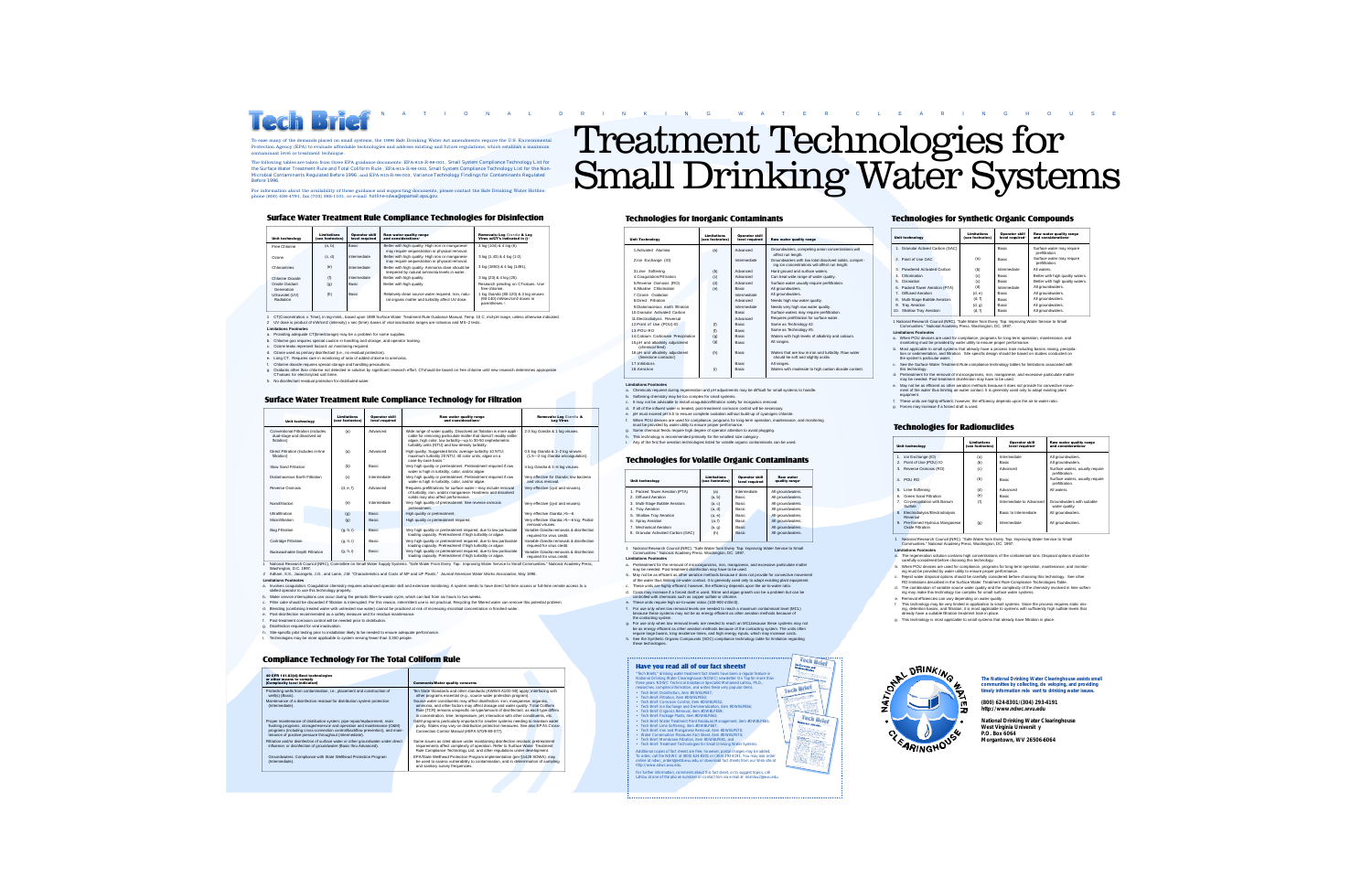

to ease many of the demands placed on small systems, the 1996 Safe Drinking Water Act amendments require the U.S. Environmental systems, the 1996 Safe Drinking Water Act amendments require the U.S. Environmental systems. Protection Agency (EPA) to evaluate affordable technologies and address existing and future regulations, which establish a maximum contaminant level or treatment technique.

The following tables are taken from three EPA guidance documents: EPA-815-R-98-001, *Small System Compliance Technology List for the Surface Water Treatment Rule and Total Coliform Rule* ; EPA-815-R-98-002, *Small System Compliance Technology List for the Non-*<br>*Microbial Contaminants Regulated Before 1996*: and EPA-815-R-98-003. *Variance Technolo Microbial Contaminants Regulated Before 1996*; and EPA-815-R-98-003, *Variance Technology Findings for Contaminants Regulated Before 1996*.

For information about the availability of these guidance and supporting documents, please contact the Safe Drinking Water Hotline phone (800) 426-4791, fax (703) 285-1101, or e-mail *hotline-sdwa@epamail.epa.gov*.

#### **Surface Water Treatment Rule Compliance Technologies for Disinfection**

| <b>Unit technology</b>               | <b>Limitations</b><br>(see footnotes) | <b>Operator skill</b><br>level required | <b>Raw water quality range</b><br>and considerations'                                                   | Removals: Log Giardia & Log<br>Virus w/CT's indicated in ()'                            |
|--------------------------------------|---------------------------------------|-----------------------------------------|---------------------------------------------------------------------------------------------------------|-----------------------------------------------------------------------------------------|
| Free Chlorine                        | (a, b)                                | <b>Basic</b>                            | Better with high quality. High iron or manganese<br>may require sequestration or physical removal.      | 3 log (104) & 4 log (6).                                                                |
| Ozone                                | (c, d)                                | Intermediate                            | Better with high quality. High iron or manganese<br>may require sequestration or physical removal.      | 3 log (1.43) & 4 log (1.0).                                                             |
| Chloramines                          | (e)                                   | Intermediate                            | Better with high quality. Ammonia dose should be<br>tempered by natural ammonia levels in water.        | 3 log (1850) & 4 log (1491).                                                            |
| Chlorine Dioxide                     | (f)                                   | Intermediate                            | Better with high quality.                                                                               | 3 log (23) & 4 log (25).                                                                |
| Onsite Oxidant<br>Generation         | (q)                                   | <b>Basic</b>                            | Better with high quality.                                                                               | Research pending on CTvalues. Use<br>free chlorine                                      |
| Ultraviolet (UV)<br><b>Radiation</b> | (h)                                   | <b>Basic</b>                            | Relatively clean source water required, Iron, natu-<br>ral organic matter and turbidity affect UV dose. | 1 log Giardia (80-120) & 4 log viruses<br>(90-140) mWsec/cm2 doses in<br>parentheses 2. |
|                                      |                                       |                                         |                                                                                                         |                                                                                         |

1 CT(Concentration x Time), in mg-min/L, based upon 1989 Surface Water Treatment Rule Guidance Manual. Temp. 10 C, mid-pH range, unless otherwise indicated. 2 UV dose is product of mW/cm2 (intensity) x sec (time); bases of viral inactivation ranges are rotavirus and MS–2 tests.

- **Limitations Footnotes**
- a. Providing adequate CT(time/storage) may be a problem for some supplies.
- b. Chlorine gas requires special caution in handling and storage, and operator training. c. Ozone leaks represent hazard: air monitoring required.
- d. Ozone used as primary disinfectant (i.e., no residual protection).
- e. Long CT. Requires care in monitoring of ratio of added chlorine to ammonia.<br>f. Chlorine dioxide requires special storage and handling precautions.
- 
- f. Chlorine dioxide requires special storage and handling precautions.<br>g. Oxidants other than chlorine not detected in solution by significant research effort. CTshould be based on free chlorine until new research determin
- h. No disinfectant residual protection for distributed water.

#### **Surface Water Treatment Rule Compliance Technology for Filtration**

| <b>Unit technology</b>                                                          | <b>Limitations</b><br>(see footnotes) | <b>Operator skill</b><br>level required | Raw water quality range<br>and considerations <sup>®</sup>                                                                                                                                                                                                   | <b>Removals: Log Giardia &amp;</b><br><b>Log Virus</b>                  |
|---------------------------------------------------------------------------------|---------------------------------------|-----------------------------------------|--------------------------------------------------------------------------------------------------------------------------------------------------------------------------------------------------------------------------------------------------------------|-------------------------------------------------------------------------|
| Conventional Filtration (includes<br>dual-stage and dissolved air<br>flotation) | (a)                                   | Advanced                                | Wide range of water quality. Dissolved air flotation is more appli -<br>cable for removing particulate matter that doesn't readily settle:<br>algae, high color, low turbidity-up to 30-50 nephelometric<br>turbidity units (NTU) and low-density turbidity. | 2-3 log Giardia & 1 log viruses.                                        |
| Direct Filtration (includes in-line<br>filtration)                              | (a)                                   | Advanced                                | High quality. Suggested limits: average turbidity 10 NTU:<br>maximum turbidity 20 NTU: 40 color units: algae on a<br>case-by-case basis."                                                                                                                    | 0.5 log Giardia & 1-2 log viruses<br>(1.5-2 log Giardia w/coagulation). |
| Slow Sand Filtration                                                            | (b)                                   | Basic                                   | Very high quality or pretreatment. Pretreatment required if raw<br>water is high in turbidity, color, and/or algae,                                                                                                                                          | 4 log Giardia & 1-6 log viruses.                                        |
| Diatomaceous Earth Filtration                                                   | (c)                                   | Intermediate                            | Very high quality or pretreatment. Pretreatment required if raw<br>water is high in turbidity, color, and/or algae.                                                                                                                                          | Very effective for Giardia: low bacteria<br>and virus removal           |
| Reverse Osmosis                                                                 | (d, e, f)                             | Advanced                                | Requires prefiltrations for surface water-may include removal<br>of turbidity, iron, and/or manganese. Hardness and dissolved<br>solids may also affect performance.                                                                                         | Very effective (cyst and viruses).                                      |
| Nanofiltration                                                                  | (e)                                   | Intermediate                            | Very high quality of pretreatment. See reverse osmosis<br>pretreatment.                                                                                                                                                                                      | Very effective (cyst and viruses).                                      |
| Ultrafiltration                                                                 | (q)                                   | <b>Basic</b>                            | High quality or pretreatment.                                                                                                                                                                                                                                | Very effective Giardia,>5-6.                                            |
| Microfiltration                                                                 | (a)                                   | <b>Basic</b>                            | High quality or pretreatment required.                                                                                                                                                                                                                       | Very effective Giardia.>5-6 log: Partial<br>removal viruses             |
| <b>Bag Filtration</b>                                                           | (q, h, i)                             | Basic                                   | Very high quality or pretreatment required, due to low particulate<br>loading capacity. Pretreatment if high turbidity or algae.                                                                                                                             | Variable Giardia removals & disinfection<br>required for virus credit.  |
| Cartridge Filtration                                                            | (q, h, i)                             | Basic                                   | Very high quality or pretreatment required, due to low particulate<br>loading capacity. Pretreatment if high turbidity or algae.                                                                                                                             | Variable Giardia removals & disinfection<br>required for virus credit.  |
| Backwashable Depth Filtration                                                   | (q, h, i)                             | Basic                                   | Very high quality or pretreatment required, due to low particulate<br>loading capacity. Pretreatment if high turbidity or algae.                                                                                                                             | Variable Giardia removals & disinfection<br>required for virus credit.  |

extional Research Council (NRC), Committee on Small Water Supply Systems. "Safe Water From Every Tap: Improving Water Service to Small Communities." National Academy Press Washington, D.C. 1997.

2 Adham, S.S., Jacangelo, J.G., and Laine, J.M. "Characteristics and Costs of MF and UF Plants." *Journal American Water Works Association*, May 1996. **Limitations Footnotes**

- a. Involves coagulation. Coagulation chemistry requires advanced operator skill and extensive monitoring. A system needs to have direct full-time access or full-time remote access to a
- skilled operator to use this technology properly.

b. Water service interruptions can occur during the periodic filter-to-waste cycle, which can last from six hours to two weeks.

- Filter cake should be discarded if filtration is interrupted. For this reason, intermittent use is not practical. Recycling the filtered water can remove this potential problem.
- d. Blending (combining treated water with untreated raw water) cannot be practiced at risk of increasing microbial concentration in finished water.
- e. Post-disinfection recommended as a safety measure and for residual maintenance.
- f. Post-treatment corrosion control will be needed prior to distribution.
- g. Disinfection required for viral inactivation.
- . Site-specific pilot testing prior to installation likely to be needed to ensure adequate performance i. Technologies may be more applicable to system serving fewer than 3,300 people.
- 

#### **Compliance Technology For The Total Coliform Rule**

| 40 CFR 141.63(d)-Best technologies<br>or other means to comply<br>(Complexity level indicated)                                                                                                                                                                                                  | <b>Comments/Water quality concerns</b>                                                                                                                                                                                                                                                                                                       |  |  |
|-------------------------------------------------------------------------------------------------------------------------------------------------------------------------------------------------------------------------------------------------------------------------------------------------|----------------------------------------------------------------------------------------------------------------------------------------------------------------------------------------------------------------------------------------------------------------------------------------------------------------------------------------------|--|--|
| Protecting wells from contamination, i.e., placement and construction of<br>well(s) (Basic).                                                                                                                                                                                                    | Ten State Standards and other standards (AWW A A100-90) apply; interfacing with<br>other programs essential (e.g., source water protection program).                                                                                                                                                                                         |  |  |
| Maintenance of a disinfection residual for distribution system protection<br>(Intermediate).                                                                                                                                                                                                    | Source water constituents may affect disinfection: iron, manganese, organics,<br>ammonia, and other factors may affect dosage and water quality. T otal Coliform<br>Rule (TCR) remains unspecific on type/amount of disinfectant, as each type differs<br>in concentration, time, temperature, pH, interaction with other constituents, etc. |  |  |
| Proper maintenance of distribution system: pipe repair/replacement, main<br>flushing programs, storage/reservoir and operation and maintenance (O&M)<br>programs (including cross-connection control/backflow prevention), and main-<br>tenance of positive pressure throughout (Intermediate). | O&M programs particularly important for smaller systems needing to maintain water<br>purity. States may vary on distribution protection measures. See also EPA's Cross-<br>Connection Control Manual (#EPA 570/9-89-077).                                                                                                                    |  |  |
| Filtration and/or disinfection of surface water or other groundwater under direct<br>influence: or disinfection of groundwater (Basic thru Advanced).                                                                                                                                           | Same issues as cited above under maintaining disinfection residual; pretreatment<br>requirements affect complexity of operation. Refer to Surface Water Treatment<br>Rule Compliance Technology List: and other regulations under development.                                                                                               |  |  |
| Groundwaters: Compliance with State Wellhead Protection Program<br>(Intermediate).                                                                                                                                                                                                              | EPA/State Wellhead Protection Program implementation (per §1428 SDWA): may<br>be used to assess vulnerability to contamination, and in determination of sampling<br>and sanitary survey frequencies.                                                                                                                                         |  |  |

# Treatment Technologies for Small Drinking Water Systems

#### **Technologies for Inorganic Contaminants**

| <b>Unit Technology</b>                                   | <b>Limitations</b><br>(see footnotes) | <b>Operator skill</b><br>level required | <b>Raw water quality range</b>                                                                          |  |
|----------------------------------------------------------|---------------------------------------|-----------------------------------------|---------------------------------------------------------------------------------------------------------|--|
| 1 Activated Alumina                                      | (a)                                   | Advanced                                | Groundwaters, competing anion concentrations will<br>affect run length.                                 |  |
| 2.lon Exchange (IO)                                      |                                       | Intermediate                            | Groundwaters with low total dissolved solids, compet-<br>ing ion concentrations will affect run length. |  |
| 3.Lime Softening                                         | (b)                                   | Advanced                                | Hard ground and surface waters.                                                                         |  |
| 4.Coagulation/Filtration                                 | (c)                                   | Advanced                                | Can treat wide range of water quality.                                                                  |  |
| 5.Reverse Osmosis (RO)                                   | (d)                                   | Advanced                                | Surface water usually require prefiltration.                                                            |  |
| 6 Alkaline Chlorination                                  | (e)                                   | <b>Basic</b>                            | All groundwaters.                                                                                       |  |
| 7 Ozone Oxidation                                        |                                       | Intermediate                            | All groundwaters.                                                                                       |  |
| 8 Direct Filtration                                      |                                       | Advanced                                | Needs high raw water quality.                                                                           |  |
| 9 Diatomaceous earth filtration                          |                                       | Intermediate                            | Needs very high raw water quality.                                                                      |  |
| 10 Granular Activated Carbon                             |                                       | <b>Basic</b>                            | Surface waters may require prefiltration.                                                               |  |
| 11. Electrodialysis Reversal                             |                                       | Advanced                                | Requires prefiltration for surface water.                                                               |  |
| 12. Point of Use (POU)-IO                                | (f)                                   | <b>Basic</b>                            | Same as Technology #2.                                                                                  |  |
| 13 POU-RO                                                | (f)                                   | <b>Basic</b>                            | Same as Technology #5.                                                                                  |  |
| 14.Calcium Carbonate Precipitation                       | (q)                                   | <b>Basic</b>                            | Waters with high levels of alkalinity and calcium.                                                      |  |
| 15.pH and alkalinity adjustment<br>(chemical feed)       | (a)                                   | <b>Basic</b>                            | All ranges.                                                                                             |  |
| 16.pH and alkalinity adjustment<br>(limestone contactor) | (h)                                   | <b>Basic</b>                            | Waters that are low in iron and turbidity. Raw water<br>should be soft and slightly acidic.             |  |
| 17 Inhibitors                                            |                                       | <b>Basic</b>                            | All ranges.                                                                                             |  |
| 18 Aeration                                              | (i)                                   | <b>Basic</b>                            | Waters with moderate to high carbon dioxide content.                                                    |  |

**Limitations Footnotes** a. Chemicals required during regeneration and pH adjustments may be difficult for small systems to handle.

- b. Softening chemistry may be too complex for small systems.
- c. It may not be advisable to install coagulation/filtration solely for inorganics removal.
- d. If all of the influent water is treated, post-treatment corrosion control will be necessary.
- e. pH must exceed pH 8.5 to ensure complete oxidation without build-up of cyanogen chloride. f. When POU devices are used for compliance, programs for long-term operation, maintenance, and monitoring must be provided by water utility to ensure proper performance.
- Some chemical feeds require high degree of operator attention to avoid plugging.
- h. This technology is recommended primarily for the smallest size category
- i. Any of the first five aeration technologies listed for volatile organic contaminants can be used.

#### **Technologies for Volatile Organic Contaminants**

| <b>Unit technology</b>             | <b>Limitations</b><br>(see footnotes) | <b>Operator skill</b><br>level required | <b>Raw water</b><br>quality range' |
|------------------------------------|---------------------------------------|-----------------------------------------|------------------------------------|
| 1. Packed Tower Aeration (PTA)     | (a)                                   | Intermediate                            | All groundwaters.                  |
| 2 Diffused Aeration                | (a, b)                                | <b>Basic</b>                            | All groundwaters.                  |
| 3. Multi-Stage Bubble Aerators     | (a, c)                                | <b>Basic</b>                            | All groundwaters.                  |
| 4. Trav Aeration                   | (a, d)                                | <b>Basic</b>                            | All groundwaters.                  |
| 5. Shallow Tray Aeration           | (a, e)                                | <b>Basic</b>                            | All groundwaters.                  |
| 6. Spray Aeration                  | (a, f)                                | <b>Basic</b>                            | All groundwaters.                  |
| 7 Mechanical Aeration              | (a, q)                                | <b>Basic</b>                            | All groundwaters.                  |
| 8. Granular Activated Carbon (GAC) | (h)                                   | <b>Basic</b>                            | All groundwaters.                  |

1 National Research Council (NRC). "Safe Water from Every Tap: Improving Water Service to Small Communities." National Academy Press. Washington, DC. 1997.

**Limitations Footnotes**

these technologies.

- a. Pretreatment for the removal of microorganisms, iron, manganese, and excessive particulate matter may be needed. Post-treatment disinfection may have to be used.
- b . May not be as efficient as other aeration methods because it does not provide for convective movement of the water thus limiting air-water contact. It is generally used only to adapt exisiting plant equipment.
- c. These units are highly efficient; however, the efficiency depends upon the air-to-water ratio.
- d. Costs may increase if a forced draft is used. Slime and algae growth can be a problem but can be controlled with chemicals such as copper sulfate or chloring.
- e. These units require high air-to-water ratios (100-900 m3/m3).
- f. For use only when low removal levels are needed to reach a maximum contaminant level (MCL) because these systems may not be as energy efficient as other aeration methods because of the contacting system.
- g. For use only when low removal levels are needed to reach an MCLbecause these systems may not
- be as energy efficient as other aeration methods because of the contacting system. The units often require large basins, long residence times, and high energy inputs, which may increase costs. h. See the Synthetic Organic Compounds (SOC) compliance technology table for limitation regarding
	-

- **Have you read all of our fact sheets?**<br>Tech Briefs, "inthing water treatment fact shees have been a regular feature in<br>National Drinking Water Clearinghouse (NDWC) newsletter On Tap for more than<br>three years. NDWC Technic
- 
- esearches, compiles information, and writes the Tech Brief: Disinfection, item #DWBLPE47;
- 
- 
- Tech Brief: Filtration, item #DWBLPE50;<br>• Tech Brief: Corrosion Control, item #DWBLPE52;<br>• Tech Brief: Ion Exchange and Demineralization, item #DWBLPE56;<br>• Tech Brief: Organics Removal, item #DWBLPE63;<br>• Tech Brief: Pack
- Tech Brief: Water Treatment Plant Residuals Management, item #DWBLPE65;
- Tech Brief: Lime Softening, item #DWBLPE67
- Tech Brief: Iron and Manganese Removal, item #DWBLPE70; Water Conservation Measures Fact Sheet, item #DWBLPE74; • Tech Brief: Membrane Filtration, item #DWBLPE81; and
- Tech Brief: Treatment Technologies for Small Drinking Water Syst
- Additional copies of fact sheets are free; ho wever, postal charges may be added. To order, call the NDWC at (800) 624-8301 or (304) 293-4191. You may also order
- online at *ndwc\_orders@estd.wvu.edu*, or download fact sheets from our Web site at http://www.ndwc.wvu.edu.
- For further information, comments about this fact sheet, or to suggest topics, call Lahlou at one of the abo ve numbers or contact him via e-mail at *mlahlou2@wvu.edu*.



**Tech Brief Joe Enchange and** 

86.

- 
- -

## **Technologies for Synthetic Organic Compounds**

|   | <b>Unit technology</b>           | <b>Limitations</b><br>(see footnotes) | <b>Operator skill</b><br>level required <sup>®</sup> | <b>Raw water quality range</b><br>and considerations' |
|---|----------------------------------|---------------------------------------|------------------------------------------------------|-------------------------------------------------------|
|   | 1. Granular Actived Carbon (GAC) |                                       | <b>Basic</b>                                         | Surface water may require<br>prefiltration.           |
|   | 2 Point of Use GAC               | (a)                                   | <b>Basic</b>                                         | Surface water may require<br>prefiltration.           |
|   | 3 Powdered Activated Carbon      | (b)                                   | Intermediate                                         | All waters                                            |
| 4 | Chlorination                     | (c)                                   | <b>Basic</b>                                         | Better with high quality waters.                      |
|   | 5 Ozonation                      | (c)                                   | <b>Basic</b>                                         | Better with high quality waters                       |
|   | 6. Packed Tower Aeration (PTA)   | (d)                                   | Intermediate                                         | All groundwaters.                                     |
|   | 7 Diffused Aeration              | (d. e)                                | <b>Rasic</b>                                         | All groundwaters.                                     |
|   | 8. Multi-Stage Bubble Aerators   | (d, f)                                | <b>Basic</b>                                         | All groundwaters.                                     |
|   | 9. Trav Aeration                 | (d, q)                                | <b>Rasic</b>                                         | All groundwaters.                                     |
|   | 10. Shallow Tray Aeration        | (d, f)                                | <b>Basic</b>                                         | All groundwaters.                                     |

- 1 National Research Council (NRC). "Safe Water from Every Tap: Improving Water Service to Small Communities." National Academy Press. Washington, DC. 1997.
- **Limitations Footnotes**
- a. When POU devices are used for compliance, programs for long-term operation, maintenance, and middle to devided and deed to compliance, programs for only term open.
- b. Most applicable to small systems that already have a process train including basins mixing, precipitation, and filtration. Site specific design should be based on studies conducted on<br>the system's particular water.<br>the
- c. See the Surface Water Treatment Rule compliance technology tables for limitations associated with this technology.
- d. Pretreatment for the removal of microorganisms, iron, manganese, and excessive particulate matter may be needed. Post-treatment disinfection may have to be used.
- e. May not be as efficient as other aeration methods because it does not provide for convective movement of the water thus limiting air-water contact. It is generally used only to adapt existing plant
- equipment. f. These units are highly efficient; however, the efficiency depends upon the air-to-water ratio.
- g. Forces may increase if a forced draft is used.
- 

#### **Technologies for Radionuclides**

|                | <b>Unit technology</b>                           | <b>Limitations</b><br>(see footnotes) | <b>Operator skill</b><br>level required' | Raw water quality range<br>and considerations'    |
|----------------|--------------------------------------------------|---------------------------------------|------------------------------------------|---------------------------------------------------|
| 1.             | Ion Exchange (IO)                                | (a)                                   | Intermediate                             | All groundwaters.                                 |
| $\overline{2}$ | Point of Use (POU) IO                            | (b)                                   | <b>Basic</b>                             | All groundwaters.                                 |
| 3.             | Reverse Osmosis (RO)                             | (c)                                   | Advanced                                 | Surface waters, usually require<br>prefiltration. |
|                | 4 POURO                                          | (b)                                   | <b>Basic</b>                             | Surface waters, usually require<br>prefiltration. |
| 5.             | Lime Softening                                   | (d)                                   | Advanced                                 | All waters                                        |
| 6.             | Green Sand Filtration                            | (e)                                   | <b>Basic</b>                             |                                                   |
| 7.             | Co-precipitation with Barium<br>Sulfate          | (f)                                   | Intermediate to Advanced                 | Groundwaters with suitable<br>water quality.      |
| 8.             | Electrodialysis/Electrodialysis<br>Reversal      |                                       | <b>Basic to Intermediate</b>             | All groundwaters.                                 |
| 9.             | Pre-formed Hydrous Manganese<br>Oxide Filtration | (q)                                   | Intermediate                             | All groundwaters.                                 |

1 National Research Council (NRC). "Safe Water from Every Tap: Improving Water Service to Small Communities." National Academy Press. Washington, DC. 1997. **Limitations Footnotes**

- 
- a. The regeneration solution contains high concentrations of the contaminant ions. Disposal options should be carefully considered before choosing this technology.
- b. When POU devices are used for compliance, programs for long-term operation, maintenance, and monitoring must be provided by water utility to ensure proper performance.
- c. Reject water disposal options should be carefully considered before choosing this technology. See other RO limitations described in the Surface Water Treatment Rule Compliance Technologies Table.
- d. The combination of variable source water quality and the complexity of the chemistry involved in lime soften-
- ing may make this technology too complex for small surface water systems. Removal efficiencies can vary depending on water quality.
- f. This technology may be very limited in application to small systems. Since the process requires static mixi<br>ing, determion basins, and filtration; it is most applicable to systems with sufficiently high sulfate levels t
- g. This technology is most applicable to small systems that already have filtration in place.



**The National Drinking Water Clearinghouse assists small communities by collecting, de veloping, and providing timely information rele vant to drinking water issues.**

**(800) 624-8301/(304) 293-4191 http://www.ndwc.wvu.edu**

**National Drinking Water Clearinghouse West Virginia Universit y P.O. Box 6064 Morgantown, WV 26506-6064**